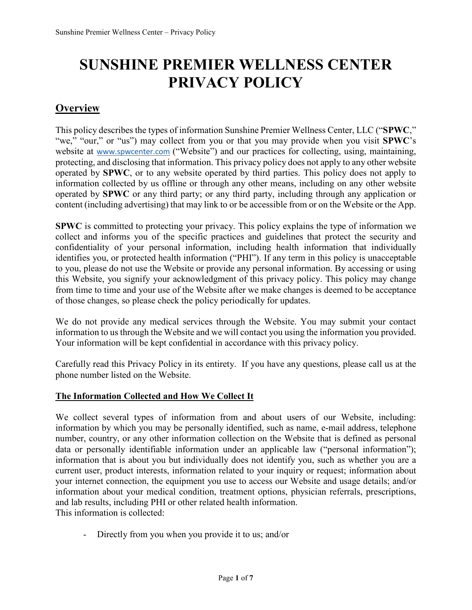# **SUNSHINE PREMIER WELLNESS CENTER PRIVACY POLICY**

# **Overview**

This policy describes the types of information Sunshine Premier Wellness Center, LLC ("**SPWC**," "we," "our," or "us") may collect from you or that you may provide when you visit **SPWC**'s website at www.spwcenter.com ("Website") and our practices for collecting, using, maintaining, protecting, and disclosing that information. This privacy policy does not apply to any other website operated by **SPWC**, or to any website operated by third parties. This policy does not apply to information collected by us offline or through any other means, including on any other website operated by **SPWC** or any third party; or any third party, including through any application or content (including advertising) that may link to or be accessible from or on the Website or the App.

**SPWC** is committed to protecting your privacy. This policy explains the type of information we collect and informs you of the specific practices and guidelines that protect the security and confidentiality of your personal information, including health information that individually identifies you, or protected health information ("PHI"). If any term in this policy is unacceptable to you, please do not use the Website or provide any personal information. By accessing or using this Website, you signify your acknowledgment of this privacy policy. This policy may change from time to time and your use of the Website after we make changes is deemed to be acceptance of those changes, so please check the policy periodically for updates.

We do not provide any medical services through the Website. You may submit your contact information to us through the Website and we will contact you using the information you provided. Your information will be kept confidential in accordance with this privacy policy.

Carefully read this Privacy Policy in its entirety. If you have any questions, please call us at the phone number listed on the Website.

## **The Information Collected and How We Collect It**

We collect several types of information from and about users of our Website, including: information by which you may be personally identified, such as name, e-mail address, telephone number, country, or any other information collection on the Website that is defined as personal data or personally identifiable information under an applicable law ("personal information"); information that is about you but individually does not identify you, such as whether you are a current user, product interests, information related to your inquiry or request; information about your internet connection, the equipment you use to access our Website and usage details; and/or information about your medical condition, treatment options, physician referrals, prescriptions, and lab results, including PHI or other related health information. This information is collected:

- Directly from you when you provide it to us; and/or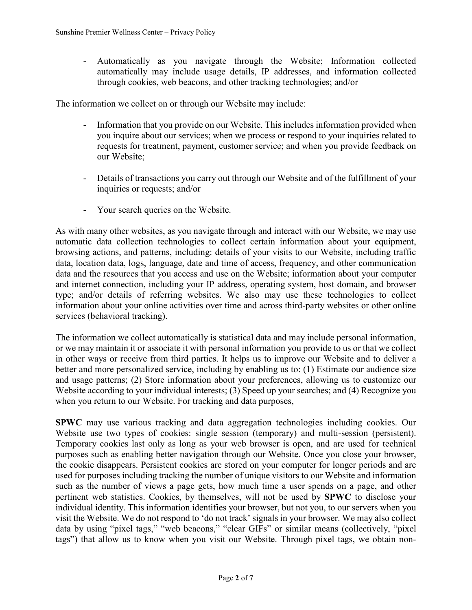- Automatically as you navigate through the Website; Information collected automatically may include usage details, IP addresses, and information collected through cookies, web beacons, and other tracking technologies; and/or

The information we collect on or through our Website may include:

- Information that you provide on our Website. This includes information provided when you inquire about our services; when we process or respond to your inquiries related to requests for treatment, payment, customer service; and when you provide feedback on our Website;
- Details of transactions you carry out through our Website and of the fulfillment of your inquiries or requests; and/or
- Your search queries on the Website.

As with many other websites, as you navigate through and interact with our Website, we may use automatic data collection technologies to collect certain information about your equipment, browsing actions, and patterns, including: details of your visits to our Website, including traffic data, location data, logs, language, date and time of access, frequency, and other communication data and the resources that you access and use on the Website; information about your computer and internet connection, including your IP address, operating system, host domain, and browser type; and/or details of referring websites. We also may use these technologies to collect information about your online activities over time and across third-party websites or other online services (behavioral tracking).

The information we collect automatically is statistical data and may include personal information, or we may maintain it or associate it with personal information you provide to us or that we collect in other ways or receive from third parties. It helps us to improve our Website and to deliver a better and more personalized service, including by enabling us to: (1) Estimate our audience size and usage patterns; (2) Store information about your preferences, allowing us to customize our Website according to your individual interests; (3) Speed up your searches; and (4) Recognize you when you return to our Website. For tracking and data purposes,

**SPWC** may use various tracking and data aggregation technologies including cookies. Our Website use two types of cookies: single session (temporary) and multi-session (persistent). Temporary cookies last only as long as your web browser is open, and are used for technical purposes such as enabling better navigation through our Website. Once you close your browser, the cookie disappears. Persistent cookies are stored on your computer for longer periods and are used for purposes including tracking the number of unique visitors to our Website and information such as the number of views a page gets, how much time a user spends on a page, and other pertinent web statistics. Cookies, by themselves, will not be used by **SPWC** to disclose your individual identity. This information identifies your browser, but not you, to our servers when you visit the Website. We do not respond to 'do not track' signals in your browser. We may also collect data by using "pixel tags," "web beacons," "clear GIFs" or similar means (collectively, "pixel tags") that allow us to know when you visit our Website. Through pixel tags, we obtain non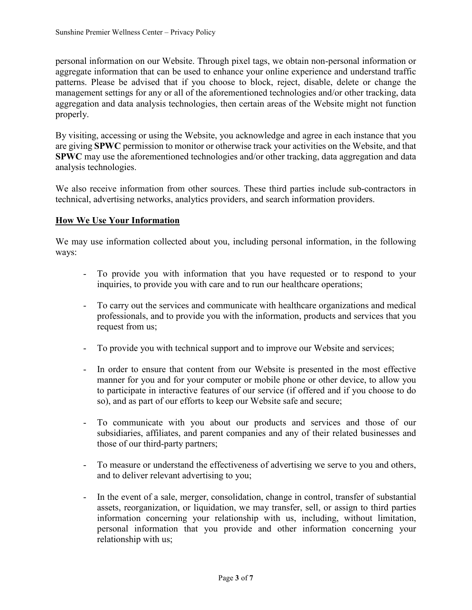personal information on our Website. Through pixel tags, we obtain non-personal information or aggregate information that can be used to enhance your online experience and understand traffic patterns. Please be advised that if you choose to block, reject, disable, delete or change the management settings for any or all of the aforementioned technologies and/or other tracking, data aggregation and data analysis technologies, then certain areas of the Website might not function properly.

By visiting, accessing or using the Website, you acknowledge and agree in each instance that you are giving **SPWC** permission to monitor or otherwise track your activities on the Website, and that **SPWC** may use the aforementioned technologies and/or other tracking, data aggregation and data analysis technologies.

We also receive information from other sources. These third parties include sub-contractors in technical, advertising networks, analytics providers, and search information providers.

#### **How We Use Your Information**

We may use information collected about you, including personal information, in the following ways:

- To provide you with information that you have requested or to respond to your inquiries, to provide you with care and to run our healthcare operations;
- To carry out the services and communicate with healthcare organizations and medical professionals, and to provide you with the information, products and services that you request from us;
- To provide you with technical support and to improve our Website and services;
- In order to ensure that content from our Website is presented in the most effective manner for you and for your computer or mobile phone or other device, to allow you to participate in interactive features of our service (if offered and if you choose to do so), and as part of our efforts to keep our Website safe and secure;
- To communicate with you about our products and services and those of our subsidiaries, affiliates, and parent companies and any of their related businesses and those of our third-party partners;
- To measure or understand the effectiveness of advertising we serve to you and others, and to deliver relevant advertising to you;
- In the event of a sale, merger, consolidation, change in control, transfer of substantial assets, reorganization, or liquidation, we may transfer, sell, or assign to third parties information concerning your relationship with us, including, without limitation, personal information that you provide and other information concerning your relationship with us;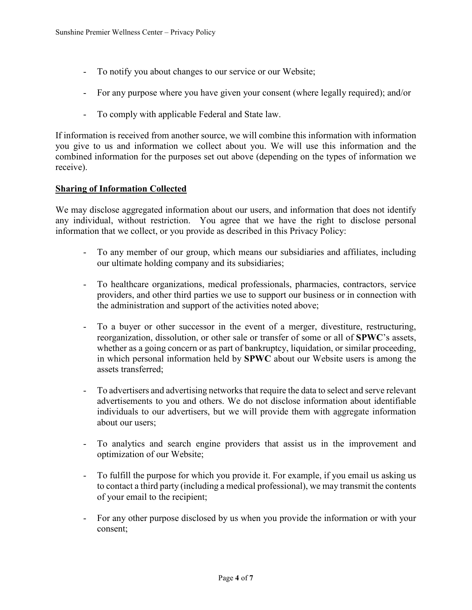- To notify you about changes to our service or our Website;
- For any purpose where you have given your consent (where legally required); and/or
- To comply with applicable Federal and State law.

If information is received from another source, we will combine this information with information you give to us and information we collect about you. We will use this information and the combined information for the purposes set out above (depending on the types of information we receive).

#### **Sharing of Information Collected**

We may disclose aggregated information about our users, and information that does not identify any individual, without restriction. You agree that we have the right to disclose personal information that we collect, or you provide as described in this Privacy Policy:

- To any member of our group, which means our subsidiaries and affiliates, including our ultimate holding company and its subsidiaries;
- To healthcare organizations, medical professionals, pharmacies, contractors, service providers, and other third parties we use to support our business or in connection with the administration and support of the activities noted above;
- To a buyer or other successor in the event of a merger, divestiture, restructuring, reorganization, dissolution, or other sale or transfer of some or all of **SPWC**'s assets, whether as a going concern or as part of bankruptcy, liquidation, or similar proceeding, in which personal information held by **SPWC** about our Website users is among the assets transferred;
- To advertisers and advertising networks that require the data to select and serve relevant advertisements to you and others. We do not disclose information about identifiable individuals to our advertisers, but we will provide them with aggregate information about our users;
- To analytics and search engine providers that assist us in the improvement and optimization of our Website;
- To fulfill the purpose for which you provide it. For example, if you email us asking us to contact a third party (including a medical professional), we may transmit the contents of your email to the recipient;
- For any other purpose disclosed by us when you provide the information or with your consent;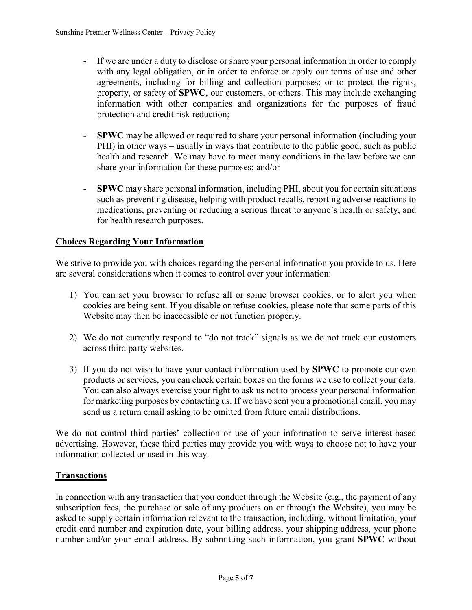- If we are under a duty to disclose or share your personal information in order to comply with any legal obligation, or in order to enforce or apply our terms of use and other agreements, including for billing and collection purposes; or to protect the rights, property, or safety of **SPWC**, our customers, or others. This may include exchanging information with other companies and organizations for the purposes of fraud protection and credit risk reduction;
- **SPWC** may be allowed or required to share your personal information (including your PHI) in other ways – usually in ways that contribute to the public good, such as public health and research. We may have to meet many conditions in the law before we can share your information for these purposes; and/or
- **SPWC** may share personal information, including PHI, about you for certain situations such as preventing disease, helping with product recalls, reporting adverse reactions to medications, preventing or reducing a serious threat to anyone's health or safety, and for health research purposes.

## **Choices Regarding Your Information**

We strive to provide you with choices regarding the personal information you provide to us. Here are several considerations when it comes to control over your information:

- 1) You can set your browser to refuse all or some browser cookies, or to alert you when cookies are being sent. If you disable or refuse cookies, please note that some parts of this Website may then be inaccessible or not function properly.
- 2) We do not currently respond to "do not track" signals as we do not track our customers across third party websites.
- 3) If you do not wish to have your contact information used by **SPWC** to promote our own products or services, you can check certain boxes on the forms we use to collect your data. You can also always exercise your right to ask us not to process your personal information for marketing purposes by contacting us. If we have sent you a promotional email, you may send us a return email asking to be omitted from future email distributions.

We do not control third parties' collection or use of your information to serve interest-based advertising. However, these third parties may provide you with ways to choose not to have your information collected or used in this way.

#### **Transactions**

In connection with any transaction that you conduct through the Website (e.g., the payment of any subscription fees, the purchase or sale of any products on or through the Website), you may be asked to supply certain information relevant to the transaction, including, without limitation, your credit card number and expiration date, your billing address, your shipping address, your phone number and/or your email address. By submitting such information, you grant **SPWC** without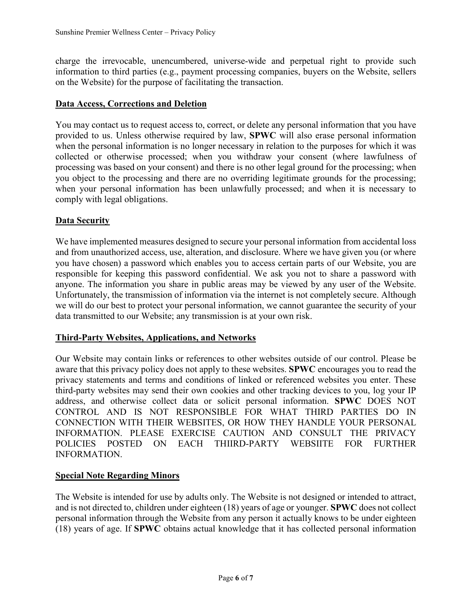charge the irrevocable, unencumbered, universe-wide and perpetual right to provide such information to third parties (e.g., payment processing companies, buyers on the Website, sellers on the Website) for the purpose of facilitating the transaction.

#### **Data Access, Corrections and Deletion**

You may contact us to request access to, correct, or delete any personal information that you have provided to us. Unless otherwise required by law, **SPWC** will also erase personal information when the personal information is no longer necessary in relation to the purposes for which it was collected or otherwise processed; when you withdraw your consent (where lawfulness of processing was based on your consent) and there is no other legal ground for the processing; when you object to the processing and there are no overriding legitimate grounds for the processing; when your personal information has been unlawfully processed; and when it is necessary to comply with legal obligations.

#### **Data Security**

We have implemented measures designed to secure your personal information from accidental loss and from unauthorized access, use, alteration, and disclosure. Where we have given you (or where you have chosen) a password which enables you to access certain parts of our Website, you are responsible for keeping this password confidential. We ask you not to share a password with anyone. The information you share in public areas may be viewed by any user of the Website. Unfortunately, the transmission of information via the internet is not completely secure. Although we will do our best to protect your personal information, we cannot guarantee the security of your data transmitted to our Website; any transmission is at your own risk.

#### **Third-Party Websites, Applications, and Networks**

Our Website may contain links or references to other websites outside of our control. Please be aware that this privacy policy does not apply to these websites. **SPWC** encourages you to read the privacy statements and terms and conditions of linked or referenced websites you enter. These third-party websites may send their own cookies and other tracking devices to you, log your IP address, and otherwise collect data or solicit personal information. **SPWC** DOES NOT CONTROL AND IS NOT RESPONSIBLE FOR WHAT THIRD PARTIES DO IN CONNECTION WITH THEIR WEBSITES, OR HOW THEY HANDLE YOUR PERSONAL INFORMATION. PLEASE EXERCISE CAUTION AND CONSULT THE PRIVACY POLICIES POSTED ON EACH THIIRD-PARTY WEBSIITE FOR FURTHER INFORMATION.

#### **Special Note Regarding Minors**

The Website is intended for use by adults only. The Website is not designed or intended to attract, and is not directed to, children under eighteen (18) years of age or younger. **SPWC** does not collect personal information through the Website from any person it actually knows to be under eighteen (18) years of age. If **SPWC** obtains actual knowledge that it has collected personal information